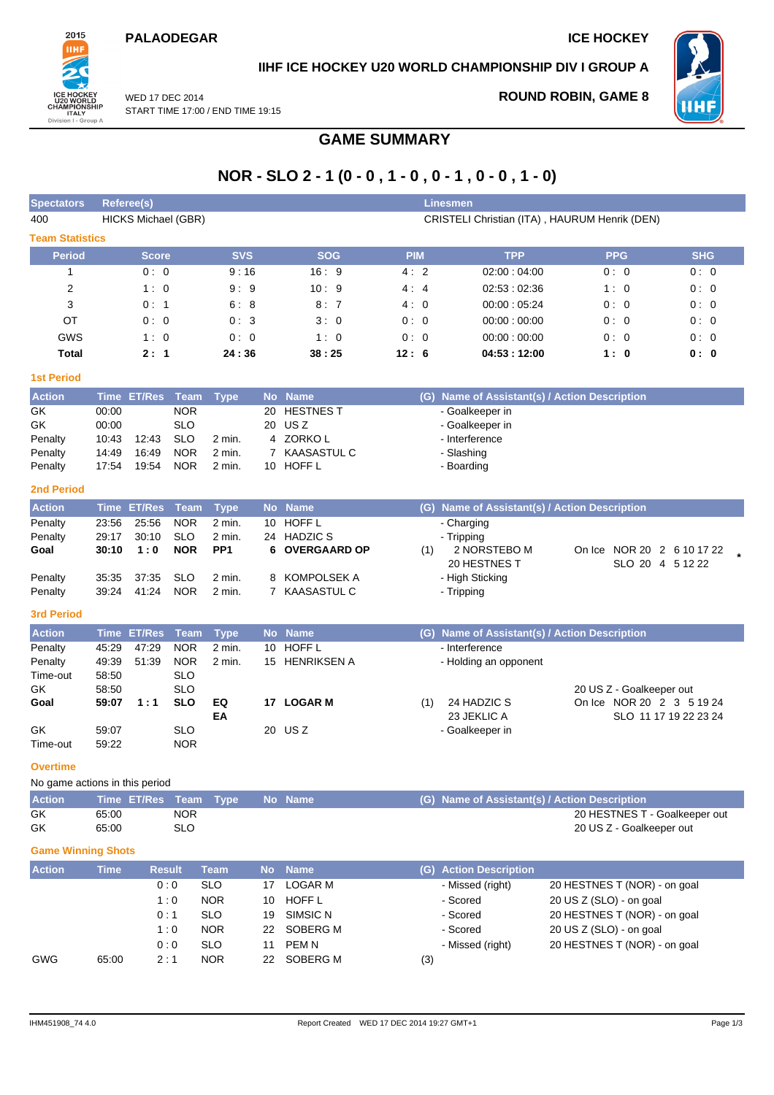### **PALAODEGAR ICE HOCKEY**



## **IIHF ICE HOCKEY U20 WORLD CHAMPIONSHIP DIV I GROUP A**

WED 17 DEC 2014 START TIME 17:00 / END TIME 19:15 **ROUND ROBIN, GAME 8**



# **NOR - SLO 2 - 1 (0 - 0 , 1 - 0 , 0 - 1 , 0 - 0 , 1 - 0)**

**GAME SUMMARY**

| <b>Spectators</b>              |                | Referee(s)                 |                          |                          |                 |                                     |      |            | Linesmen                                      |                                               |  |
|--------------------------------|----------------|----------------------------|--------------------------|--------------------------|-----------------|-------------------------------------|------|------------|-----------------------------------------------|-----------------------------------------------|--|
| 400                            |                | <b>HICKS Michael (GBR)</b> |                          |                          |                 |                                     |      |            |                                               | CRISTELI Christian (ITA), HAURUM Henrik (DEN) |  |
| <b>Team Statistics</b>         |                |                            |                          |                          |                 |                                     |      |            |                                               |                                               |  |
| <b>Period</b>                  |                | Score                      |                          | <b>SVS</b>               |                 | <b>SOG</b>                          |      | <b>PIM</b> | <b>TPP</b>                                    | <b>PPG</b><br><b>SHG</b>                      |  |
| $\mathbf{1}$                   |                | 0:0                        |                          | 9:16                     |                 | 16:9                                |      | 4:2        | 02:00:04:00                                   | 0:0<br>0:0                                    |  |
| $\overline{2}$                 |                | 1:0                        |                          | 9:9                      |                 | 10:9                                |      | 4:4        | 02:53:02:36                                   | 1:0<br>0:0                                    |  |
| 3                              |                | 0:1                        |                          | 6:8                      |                 | 8:7                                 |      | 4:0        | 00:00:05:24                                   | 0:0<br>0:0                                    |  |
| OT                             |                | 0:0                        |                          | 0:3                      |                 | 3:0                                 |      | 0:0        | 00:00:00:00                                   | 0:0<br>0:0                                    |  |
| GWS                            |                | 1:0                        |                          | 0:0                      |                 | 1:0                                 |      | 0:0        | 00:00:00:00                                   | 0:0<br>0:0                                    |  |
| <b>Total</b>                   |                | 2:1                        |                          | 24:36                    |                 | 38:25                               | 12:6 |            | 04:53:12:00                                   | 1:0<br>0:0                                    |  |
| <b>1st Period</b>              |                |                            |                          |                          |                 |                                     |      |            |                                               |                                               |  |
| <b>Action</b>                  |                | Time ET/Res                | <b>Team</b>              | <b>Type</b>              | <b>No</b>       | <b>Name</b>                         |      | (G)        |                                               | Name of Assistant(s) / Action Description     |  |
| GK                             | 00:00          |                            | <b>NOR</b>               |                          | 20              | <b>HESTNES T</b>                    |      |            | - Goalkeeper in                               |                                               |  |
| GK                             | 00:00          |                            | <b>SLO</b>               |                          |                 | 20 USZ                              |      |            | - Goalkeeper in                               |                                               |  |
| Penalty<br>Penalty             | 10:43<br>14:49 | 12:43<br>16:49             | <b>SLO</b><br><b>NOR</b> | $2$ min.<br>2 min.       |                 | 4 ZORKOL<br>7 KAASASTUL C           |      |            | - Interference<br>- Slashing                  |                                               |  |
| Penalty                        | 17:54          | 19:54                      | <b>NOR</b>               | 2 min.                   |                 | 10 HOFF L                           |      |            | - Boarding                                    |                                               |  |
|                                |                |                            |                          |                          |                 |                                     |      |            |                                               |                                               |  |
| <b>2nd Period</b>              |                |                            |                          |                          |                 |                                     |      |            |                                               |                                               |  |
| <b>Action</b>                  |                | Time ET/Res                | Team                     | <b>Type</b>              |                 | No Name<br><b>HOFF L</b>            |      |            | (G) Name of Assistant(s) / Action Description |                                               |  |
| Penalty<br>Penalty             | 23:56<br>29:17 | 25:56<br>30:10             | <b>NOR</b><br><b>SLO</b> | 2 min.<br>2 min.         | 10 <sup>1</sup> | 24 HADZIC S                         |      |            | - Charging<br>- Tripping                      |                                               |  |
| Goal                           | 30:10          | 1:0                        | <b>NOR</b>               | PP <sub>1</sub>          |                 | 6 OVERGAARD OP                      |      | (1)        | 2 NORSTEBO M                                  | On Ice NOR 20 2 6 10 17 22                    |  |
|                                |                |                            |                          |                          |                 |                                     |      |            | 20 HESTNES T                                  | SLO 20 4 5 12 22                              |  |
| Penalty                        | 35:35          | 37:35                      | <b>SLO</b>               | 2 min.                   | 8               | <b>KOMPOLSEK A</b>                  |      |            | - High Sticking                               |                                               |  |
| Penalty                        | 39:24          | 41:24                      | <b>NOR</b>               | 2 min.                   |                 | 7 KAASASTUL C                       |      |            | - Tripping                                    |                                               |  |
| <b>3rd Period</b>              |                |                            |                          |                          |                 |                                     |      |            |                                               |                                               |  |
| <b>Action</b>                  |                | Time ET/Res                | Team                     | <b>Type</b>              |                 | No Name                             |      |            | (G) Name of Assistant(s) / Action Description |                                               |  |
| Penalty                        | 45:29          | 47:29                      | <b>NOR</b>               | 2 min.                   | 10              | HOFF L                              |      |            | - Interference                                |                                               |  |
| Penalty                        | 49:39          | 51:39                      | <b>NOR</b>               | $2$ min.                 |                 | 15 HENRIKSEN A                      |      |            | - Holding an opponent                         |                                               |  |
| Time-out<br>GK                 | 58:50<br>58:50 |                            | <b>SLO</b><br><b>SLO</b> |                          |                 |                                     |      |            |                                               | 20 US Z - Goalkeeper out                      |  |
| Goal                           | 59:07          | 1:1                        | <b>SLO</b>               | EQ                       |                 | 17 LOGAR M                          |      | (1)        | 24 HADZIC S                                   | On Ice NOR 20 2 3 5 19 24                     |  |
|                                |                |                            |                          | EA                       |                 |                                     |      |            | 23 JEKLIC A                                   | SLO 11 17 19 22 23 24                         |  |
| GK                             | 59:07          |                            | <b>SLO</b>               |                          |                 | 20 USZ                              |      |            | - Goalkeeper in                               |                                               |  |
| Time-out                       | 59:22          |                            | <b>NOR</b>               |                          |                 |                                     |      |            |                                               |                                               |  |
| <b>Overtime</b>                |                |                            |                          |                          |                 |                                     |      |            |                                               |                                               |  |
| No game actions in this period |                |                            |                          |                          |                 |                                     |      |            |                                               |                                               |  |
| <b>Action</b>                  |                | Time ET/Res                | <b>Team</b>              | <b>Type</b>              |                 | No Name                             |      |            |                                               | (G) Name of Assistant(s) / Action Description |  |
| GK                             | 65:00          |                            | <b>NOR</b>               |                          |                 |                                     |      |            |                                               | 20 HESTNES T - Goalkeeper out                 |  |
| GK                             | 65:00          |                            | <b>SLO</b>               |                          |                 |                                     |      |            |                                               | 20 US Z - Goalkeeper out                      |  |
| <b>Game Winning Shots</b>      |                |                            |                          |                          |                 |                                     |      |            |                                               |                                               |  |
| <b>Action</b>                  | <b>Time</b>    |                            | <b>Result</b>            | <b>Team</b>              | <b>No</b>       | <b>Name</b>                         |      |            | (G) Action Description                        |                                               |  |
|                                |                |                            | 0:0                      | <b>SLO</b>               | 17              | <b>LOGAR M</b>                      |      |            | - Missed (right)                              | 20 HESTNES T (NOR) - on goal                  |  |
|                                |                |                            | 1:0                      | <b>NOR</b>               | 10              | HOFF L                              |      |            | - Scored                                      | 20 US Z (SLO) - on goal                       |  |
|                                |                |                            | 0:1                      | <b>SLO</b>               | 19              | SIMSIC N                            |      |            | - Scored                                      | 20 HESTNES T (NOR) - on goal                  |  |
|                                |                |                            | 1:0                      | <b>NOR</b>               | 22              | SOBERG M                            |      |            | - Scored                                      | 20 US Z (SLO) - on goal                       |  |
| <b>GWG</b>                     | 65:00          |                            | 0:0<br>2:1               | <b>SLO</b><br><b>NOR</b> | 11<br>22        | PEM <sub>N</sub><br><b>SOBERG M</b> |      |            | - Missed (right)                              | 20 HESTNES T (NOR) - on goal                  |  |
|                                |                |                            |                          |                          |                 |                                     |      | (3)        |                                               |                                               |  |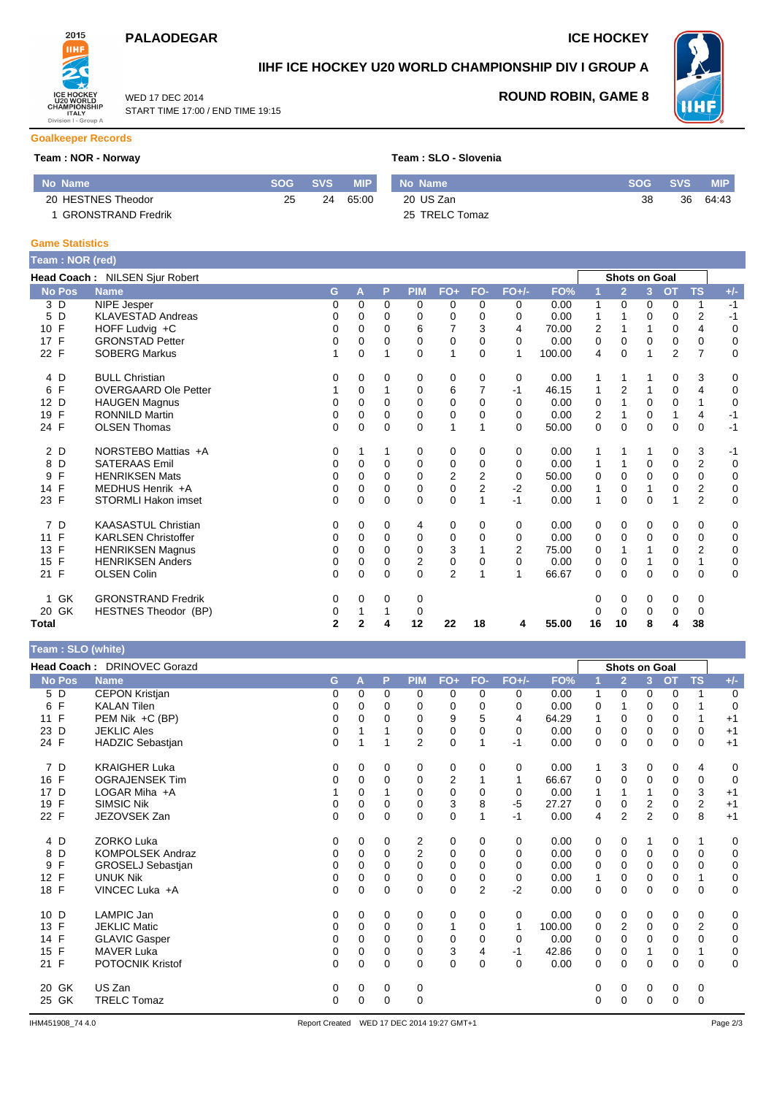## **PALAODEGAR ICE HOCKEY**

WED 17 DEC 2014

START TIME 17:00 / END TIME 19:15



## **IIHF ICE HOCKEY U20 WORLD CHAMPIONSHIP DIV I GROUP A**



**ROUND ROBIN, GAME 8**

#### **Goalkeeper Records**

#### **Team : NOR - Norway Team : SLO - Slovenia**

| No Name                   | SOG | <b>SVS</b> | <b>MIP</b> | No Name        | <b>SOG</b> | <b>SVS</b> | <b>MIP</b> |
|---------------------------|-----|------------|------------|----------------|------------|------------|------------|
| 20 HESTNES Theodor        | 25  | 24         | 65:00      | 20 US Zan      | 38         | 36         | 64:43      |
| <b>GRONSTRAND Fredrik</b> |     |            |            | 25 TRELC Tomaz |            |            |            |

#### **Game Statistics**

| Team: NOR (red)      |                                |              |          |             |            |                |                |                |        |    |                      |             |                |                |       |
|----------------------|--------------------------------|--------------|----------|-------------|------------|----------------|----------------|----------------|--------|----|----------------------|-------------|----------------|----------------|-------|
|                      | Head Coach: NILSEN Sjur Robert |              |          |             |            |                |                |                |        |    | <b>Shots on Goal</b> |             |                |                |       |
| <b>No Pos</b>        | <b>Name</b>                    | G            | A        | P           | <b>PIM</b> | $FO+$          | FO-            | $FO+/-$        | FO%    |    | $\overline{2}$       | 3           | <b>OT</b>      | <b>TS</b>      | $+/-$ |
| 3 D                  | <b>NIPE Jesper</b>             | 0            | $\Omega$ | $\Omega$    | $\Omega$   | 0              | 0              | 0              | 0.00   | 1  | 0                    | 0           | $\Omega$       | 1              | $-1$  |
| 5 D                  | <b>KLAVESTAD Andreas</b>       | 0            | 0        | 0           | 0          | 0              | 0              | 0              | 0.00   | 1  |                      | 0           | 0              | $\overline{2}$ | $-1$  |
| 10 F                 | HOFF Ludvig +C                 | 0            | 0        | $\Omega$    | 6          |                | 3              | 4              | 70.00  | 2  |                      |             | 0              | 4              | 0     |
| 17 F                 | <b>GRONSTAD Petter</b>         | 0            | 0        | 0           | 0          | 0              | $\mathbf 0$    | 0              | 0.00   | 0  | 0                    | 0           | 0              | 0              | 0     |
| 22 F                 | <b>SOBERG Markus</b>           |              | $\Omega$ |             | $\Omega$   | 1              | $\Omega$       | 1              | 100.00 | 4  | $\Omega$             | 1           | $\overline{2}$ | $\overline{7}$ | 0     |
| 4 D                  | <b>BULL Christian</b>          | 0            | 0        | 0           | 0          | 0              | 0              | 0              | 0.00   | 1  |                      |             | 0              | 3              | 0     |
| F<br>6               | <b>OVERGAARD Ole Petter</b>    |              | 0        |             | 0          | 6              | 7              | -1             | 46.15  | 1  | 2                    | 1           | 0              | 4              | 0     |
| D<br>12 <sup>2</sup> | <b>HAUGEN Magnus</b>           | 0            | 0        | 0           | 0          | 0              | $\Omega$       | 0              | 0.00   | 0  |                      | $\mathbf 0$ | 0              |                | 0     |
| F<br>19              | <b>RONNILD Martin</b>          | 0            | $\Omega$ | $\Omega$    | $\Omega$   | 0              | $\Omega$       | $\Omega$       | 0.00   | 2  |                      | $\Omega$    | 1              | 4              | $-1$  |
| 24 F                 | <b>OLSEN Thomas</b>            | 0            | 0        | 0           | 0          | 1              |                | 0              | 50.00  | 0  | 0                    | $\mathbf 0$ | 0              | 0              | $-1$  |
| 2 D                  | NORSTEBO Mattias +A            | 0            | 1        | 1           | 0          | 0              | 0              | 0              | 0.00   | 1  | 1                    | 1           | 0              | 3              | $-1$  |
| D<br>8               | <b>SATERAAS Emil</b>           | 0            | 0        | $\Omega$    | 0          | 0              | $\mathbf 0$    | $\Omega$       | 0.00   | 1  |                      | 0           | 0              | $\overline{2}$ | 0     |
| $\mathsf{F}$<br>9    | <b>HENRIKSEN Mats</b>          | 0            | $\Omega$ | $\Omega$    | $\Omega$   | $\overline{2}$ | 2              | 0              | 50.00  | 0  | $\Omega$             | $\Omega$    | 0              | 0              | 0     |
| F<br>14              | MEDHUS Henrik +A               | 0            | 0        | 0           | 0          | $\mathbf 0$    | $\overline{2}$ | $-2$           | 0.00   | 1  | 0                    |             | 0              | $\overline{2}$ | 0     |
| 23 F                 | <b>STORMLI Hakon imset</b>     | 0            | $\Omega$ | $\Omega$    | $\Omega$   | $\mathbf 0$    |                | $-1$           | 0.00   | 1  | $\Omega$             | $\Omega$    | 1              | $\overline{2}$ | 0     |
| 7 D                  | <b>KAASASTUL Christian</b>     | 0            | 0        | 0           | 4          | 0              | $\mathbf 0$    | 0              | 0.00   | 0  | 0                    | 0           | 0              | 0              | 0     |
| 11 F                 | <b>KARLSEN Christoffer</b>     | 0            | 0        | $\mathbf 0$ | 0          | $\mathbf 0$    | $\mathbf 0$    | 0              | 0.00   | 0  | 0                    | $\mathbf 0$ | $\mathbf 0$    | 0              | 0     |
| F<br>13              | <b>HENRIKSEN Magnus</b>        | 0            | 0        | $\Omega$    | 0          | 3              |                | $\overline{2}$ | 75.00  | 0  |                      |             | 0              | $\overline{2}$ | 0     |
| $\mathsf{F}$<br>15   | <b>HENRIKSEN Anders</b>        | 0            | $\Omega$ | $\Omega$    | 2          | 0              | 0              | $\Omega$       | 0.00   | 0  | 0                    |             | 0              | 1              | 0     |
| 21 F                 | <b>OLSEN Colin</b>             | 0            | $\Omega$ | $\Omega$    | $\Omega$   | $\overline{2}$ |                | 1              | 66.67  | 0  | $\Omega$             | 0           | $\Omega$       | $\mathbf 0$    | 0     |
| 1 GK                 | <b>GRONSTRAND Fredrik</b>      | 0            | 0        | 0           | 0          |                |                |                |        | 0  | 0                    | 0           | 0              | 0              |       |
| 20 GK                | <b>HESTNES Theodor (BP)</b>    | 0            |          |             | 0          |                |                |                |        | 0  | $\mathbf 0$          | 0           | 0              | 0              |       |
| Total                |                                | $\mathbf{2}$ | 2        | 4           | 12         | 22             | 18             | 4              | 55.00  | 16 | 10                   | 8           | 4              | 38             |       |

| Team: SLO (white) |  |
|-------------------|--|
|-------------------|--|

|                    | Head Coach: DRINOVEC Gorazd |          |          |          |                |                         |                |                |        |              | <b>Shots on Goal</b> |                |           |                |             |
|--------------------|-----------------------------|----------|----------|----------|----------------|-------------------------|----------------|----------------|--------|--------------|----------------------|----------------|-----------|----------------|-------------|
| <b>No Pos</b>      | <b>Name</b>                 | G        | А        | P        | <b>PIM</b>     | $FO+$                   | FO-            | $FO+/-$        | FO%    |              | $\overline{2}$       | 3 <sup>1</sup> | <b>OT</b> | <b>TS</b>      | $+/-$       |
| 5 D                | <b>CEPON Kristjan</b>       | 0        | 0        | 0        | 0              | 0                       | 0              | 0              | 0.00   | 1            | 0                    | 0              | 0         |                | 0           |
| $\mathsf{F}$<br>6  | <b>KALAN Tilen</b>          | 0        | 0        | 0        | 0              | $\mathbf 0$             | 0              | 0              | 0.00   | 0            |                      | 0              | 0         |                | 0           |
| 11 F               | PEM Nik +C (BP)             | 0        | 0        | 0        | 0              | 9                       | 5              | $\overline{4}$ | 64.29  |              | 0                    | 0              | 0         | 1              | $+1$        |
| D<br>23            | <b>JEKLIC Ales</b>          | 0        |          |          | $\Omega$       | $\Omega$                | 0              | $\Omega$       | 0.00   | $\Omega$     | $\Omega$             | $\Omega$       | 0         | $\Omega$       | $+1$        |
| 24 F               | <b>HADZIC Sebastjan</b>     | 0        |          |          | $\overline{2}$ | 0                       |                | -1             | 0.00   | 0            | 0                    | 0              | 0         | 0              | $+1$        |
| 7 D                | <b>KRAIGHER Luka</b>        | 0        | 0        | 0        | 0              | 0                       | 0              | 0              | 0.00   | 1            | 3                    | 0              | 0         | 4              | 0           |
| 16 F               | <b>OGRAJENSEK Tim</b>       | 0        | $\Omega$ | $\Omega$ | $\mathbf 0$    | $\overline{\mathbf{c}}$ |                | 1              | 66.67  | 0            | $\mathbf 0$          | $\mathbf 0$    | 0         | $\mathbf 0$    | $\mathbf 0$ |
| D<br>17            | LOGAR Miha $+A$             |          | 0        |          | 0              | $\mathbf 0$             | 0              | 0              | 0.00   | $\mathbf{1}$ |                      |                | 0         | 3              | $+1$        |
| $\mathsf{F}$<br>19 | <b>SIMSIC Nik</b>           | 0        | 0        | $\Omega$ | 0              | 3                       | 8              | $-5$           | 27.27  | 0            | 0                    | 2              | 0         | $\mathbf 2$    | $+1$        |
| 22 F               | JEZOVSEK Zan                | 0        | 0        | 0        | 0              | $\mathbf 0$             |                | -1             | 0.00   | 4            | $\overline{2}$       | $\overline{2}$ | 0         | 8              | $+1$        |
| 4 D                | <b>ZORKO Luka</b>           | 0        | 0        | 0        | 2              | 0                       | $\mathbf 0$    | 0              | 0.00   | 0            | $\mathbf 0$          |                | 0         | 1              | $\mathbf 0$ |
| D<br>8             | <b>KOMPOLSEK Andraz</b>     | 0        | 0        | 0        | 2              | 0                       | 0              | 0              | 0.00   | 0            | 0                    | $\mathbf 0$    | 0         | 0              | 0           |
| F<br>9             | GROSELJ Sebastjan           | 0        | $\Omega$ | 0        | $\Omega$       | 0                       | $\Omega$       | $\Omega$       | 0.00   | 0            | $\mathbf 0$          | $\Omega$       | 0         | $\Omega$       | 0           |
| F<br>12            | <b>UNUK Nik</b>             | 0        | 0        | 0        | 0              | 0                       | 0              | 0              | 0.00   | 1            | 0                    | 0              | 0         | 1              | 0           |
| 18 F               | VINCEC Luka +A              | 0        | 0        | $\Omega$ | $\Omega$       | $\mathbf 0$             | $\overline{2}$ | $-2$           | 0.00   | 0            | 0                    | $\Omega$       | 0         | 0              | $\mathbf 0$ |
| 10 D               | LAMPIC Jan                  | 0        | 0        | 0        | 0              | 0                       | 0              | 0              | 0.00   | 0            | 0                    | 0              | 0         | 0              | 0           |
| $\mathsf F$<br>13  | <b>JEKLIC Matic</b>         | 0        | 0        | 0        | 0              |                         | 0              | 1              | 100.00 | 0            | $\overline{2}$       | 0              | 0         | $\overline{2}$ | 0           |
| 14 F               | <b>GLAVIC Gasper</b>        | 0        | 0        | $\Omega$ | $\mathbf 0$    | 0                       | 0              | 0              | 0.00   | 0            | $\mathbf 0$          | $\Omega$       | 0         | 0              | 0           |
| $\mathsf{F}$<br>15 | <b>MAVER Luka</b>           | 0        | 0        | $\Omega$ | $\mathbf 0$    | 3                       | 4              | -1             | 42.86  | 0            | $\mathbf 0$          |                | 0         | 1              | $\mathbf 0$ |
| 21 F               | POTOCNIK Kristof            | $\Omega$ | 0        | $\Omega$ | $\Omega$       | $\mathbf 0$             | $\Omega$       | $\Omega$       | 0.00   | 0            | $\Omega$             | $\mathbf 0$    | 0         | 0              | $\mathbf 0$ |
| GK<br>20           | US Zan                      | 0        | 0        | 0        | 0              |                         |                |                |        | 0            | 0                    | 0              | 0         | 0              |             |
| 25 GK              | <b>TRELC Tomaz</b>          | 0        | 0        | $\Omega$ | $\mathbf 0$    |                         |                |                |        | 0            | $\Omega$             | $\Omega$       | 0         | 0              |             |